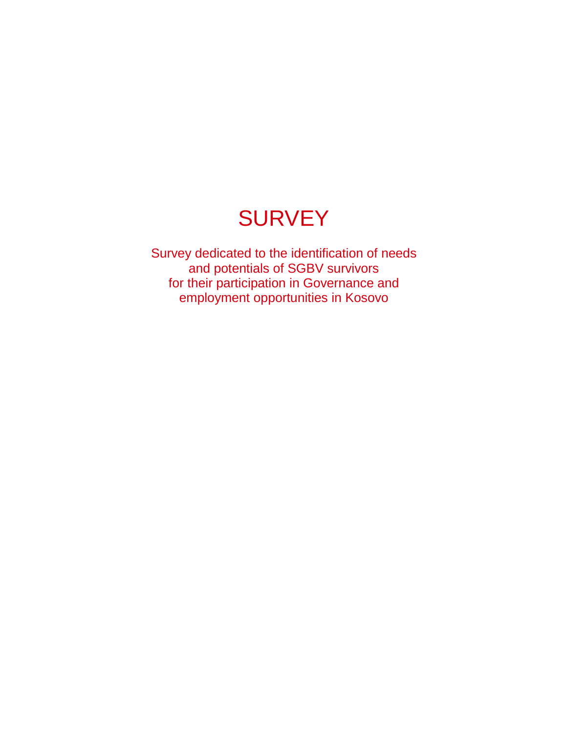# **SURVEY**

Survey dedicated to the identification of needs and potentials of SGBV survivors for their participation in Governance and employment opportunities in Kosovo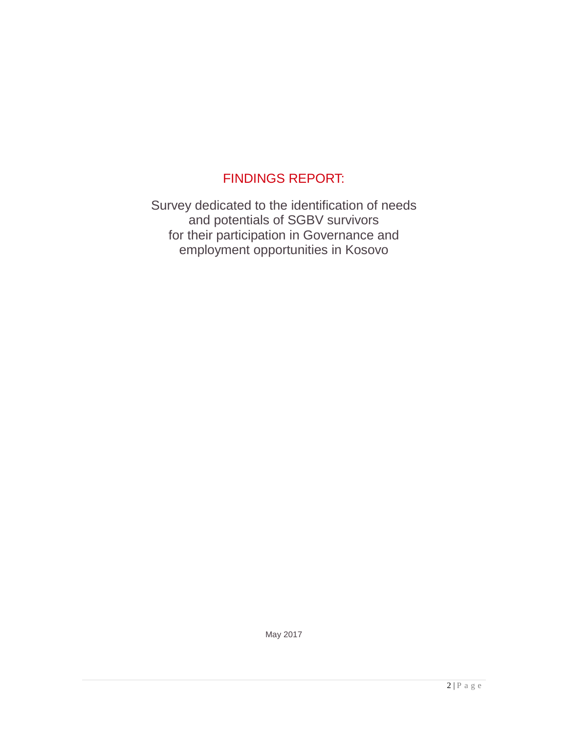# FINDINGS REPORT:

Survey dedicated to the identification of needs and potentials of SGBV survivors for their participation in Governance and employment opportunities in Kosovo

May 2017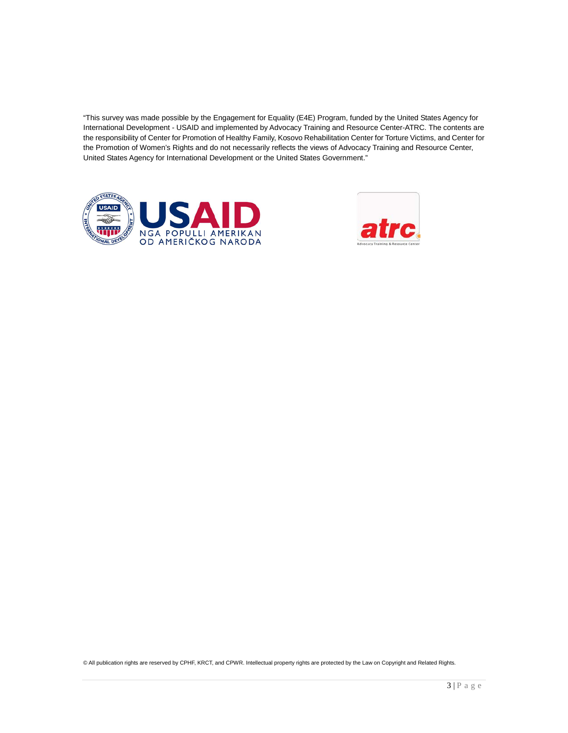"This survey was made possible by the Engagement for Equality (E4E) Program, funded by the United States Agency for International Development - USAID and implemented by Advocacy Training and Resource Center-ATRC. The contents are the responsibility of Center for Promotion of Healthy Family, Kosovo Rehabilitation Center for Torture Victims, and Center for the Promotion of Women's Rights and do not necessarily reflects the views of Advocacy Training and Resource Center, United States Agency for International Development or the United States Government."





© All publication rights are reserved by CPHF, KRCT, and CPWR. Intellectual property rights are protected by the Law on Copyright and Related Rights.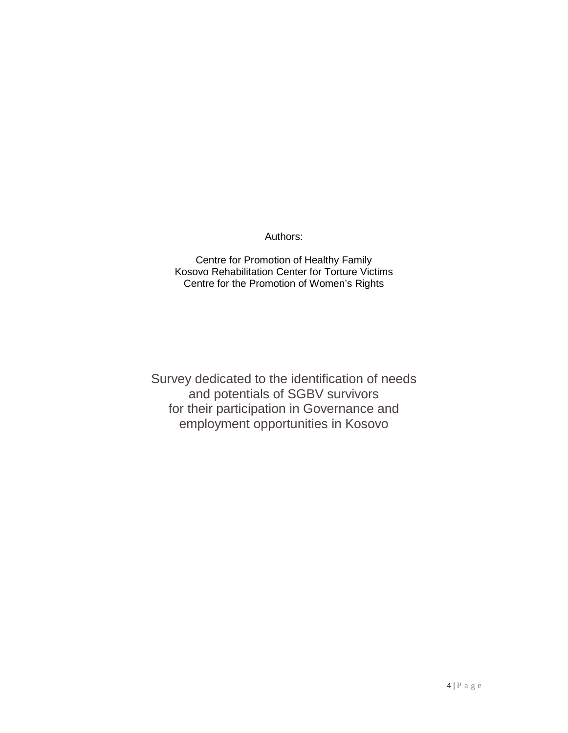#### Authors:

Centre for Promotion of Healthy Family Kosovo Rehabilitation Center for Torture Victims Centre for the Promotion of Women's Rights

Survey dedicated to the identification of needs and potentials of SGBV survivors for their participation in Governance and employment opportunities in Kosovo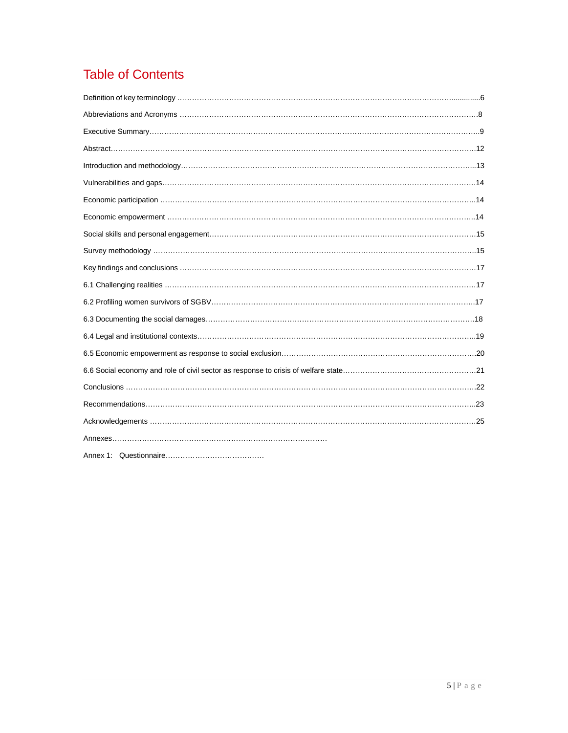# Table of Contents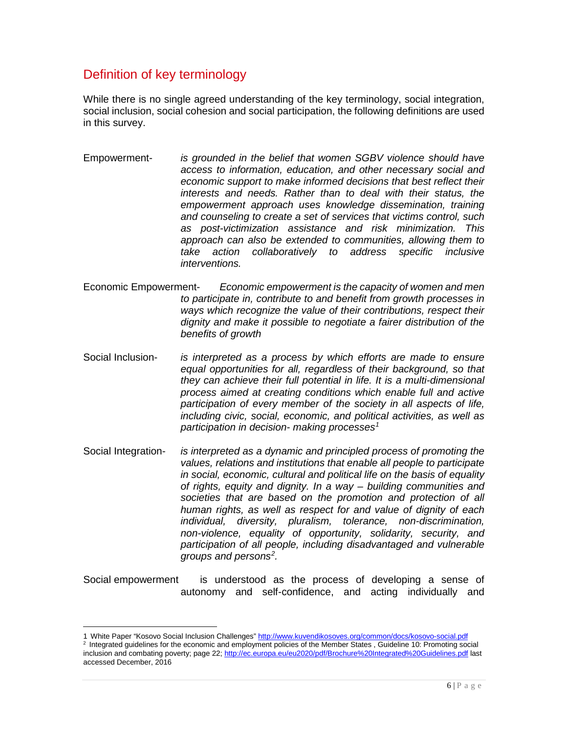## Definition of key terminology

 $\overline{a}$ 

While there is no single agreed understanding of the key terminology, social integration, social inclusion, social cohesion and social participation, the following definitions are used in this survey.

- Empowerment- *is grounded in the belief that women SGBV violence should have access to information, education, and other necessary social and economic support to make informed decisions that best reflect their interests and needs. Rather than to deal with their status, the empowerment approach uses knowledge dissemination, training and counseling to create a set of services that victims control, such as post-victimization assistance and risk minimization. This approach can also be extended to communities, allowing them to take action collaboratively to address specific inclusive interventions.*
- Economic Empowerment- *Economic empowerment is the capacity of women and men to participate in, contribute to and benefit from growth processes in ways which recognize the value of their contributions, respect their dignity and make it possible to negotiate a fairer distribution of the benefits of growth*
- Social Inclusion- *is interpreted as a process by which efforts are made to ensure equal opportunities for all, regardless of their background, so that they can achieve their full potential in life. It is a multi-dimensional process aimed at creating conditions which enable full and active participation of every member of the society in all aspects of life, including civic, social, economic, and political activities, as well as participation in decision- making processes[1](#page-5-0)*
- Social Integration- *is interpreted as a dynamic and principled process of promoting the values, relations and institutions that enable all people to participate in social, economic, cultural and political life on the basis of equality of rights, equity and dignity. In a way – building communities and societies that are based on the promotion and protection of all human rights, as well as respect for and value of dignity of each individual, diversity, pluralism, tolerance, non-discrimination, non-violence, equality of opportunity, solidarity, security, and participation of all people, including disadvantaged and vulnerable groups and persons[2](#page-5-1) .*

Social empowerment is understood as the process of developing a sense of autonomy and self-confidence, and acting individually and

<span id="page-5-1"></span><span id="page-5-0"></span><sup>1</sup> White Paper "Kosovo Social Inclusion Challenges" <u>http://www.kuvendikosoves.org/common/docs/kosovo-social.pdf</u><br><sup>2</sup> Integrated guidelines for the economic and employment policies of the Member States , Guideline 10: Promo inclusion and combating poverty; page 22;<http://ec.europa.eu/eu2020/pdf/Brochure%20Integrated%20Guidelines.pdf> last accessed December, 2016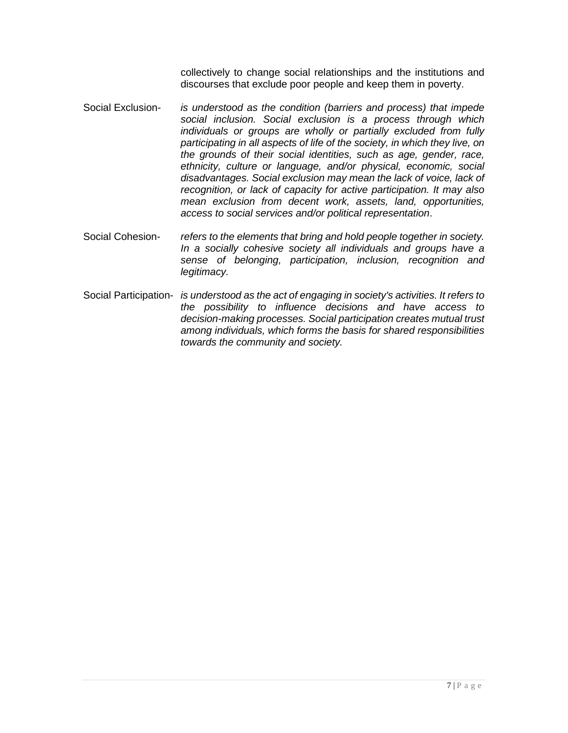collectively to change social relationships and the institutions and discourses that exclude poor people and keep them in poverty.

- Social Exclusion- *is understood as the condition (barriers and process) that impede social inclusion. Social exclusion is a process through which individuals or groups are wholly or partially excluded from fully participating in all aspects of life of the society, in which they live, on the grounds of their social identities, such as age, gender, race, ethnicity, culture or language, and/or physical, economic, social disadvantages. Social exclusion may mean the lack of voice, lack of recognition, or lack of capacity for active participation. It may also mean exclusion from decent work, assets, land, opportunities, access to social services and/or political representation*.
- Social Cohesion- *refers to the elements that bring and hold people together in society. In a socially cohesive society all individuals and groups have a sense of belonging, participation, inclusion, recognition and legitimacy.*
- Social Participation- *is understood as the act of engaging in society's activities. It refers to the possibility to influence decisions and have access to decision-making processes. Social participation creates mutual trust among individuals, which forms the basis for shared responsibilities towards the community and society.*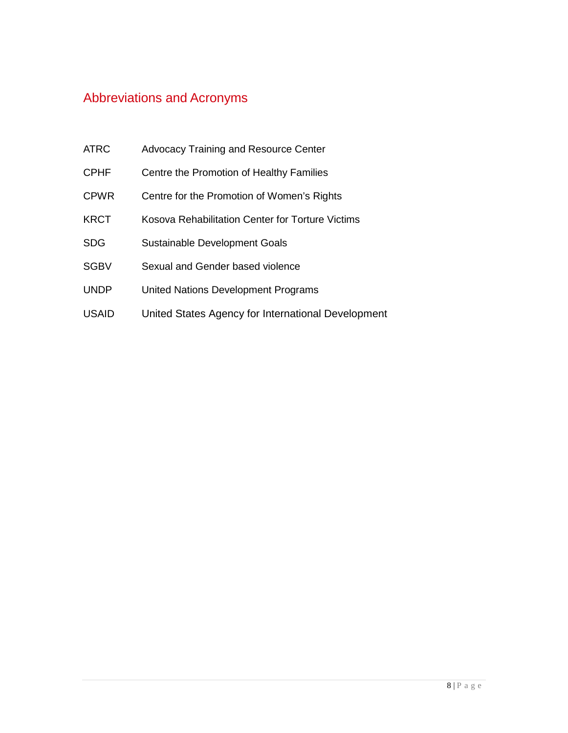## Abbreviations and Acronyms

- ATRC Advocacy Training and Resource Center
- CPHF Centre the Promotion of Healthy Families
- CPWR Centre for the Promotion of Women's Rights
- KRCT Kosova Rehabilitation Center for Torture Victims
- SDG Sustainable Development Goals
- SGBV Sexual and Gender based violence
- UNDP United Nations Development Programs
- USAID United States Agency for International Development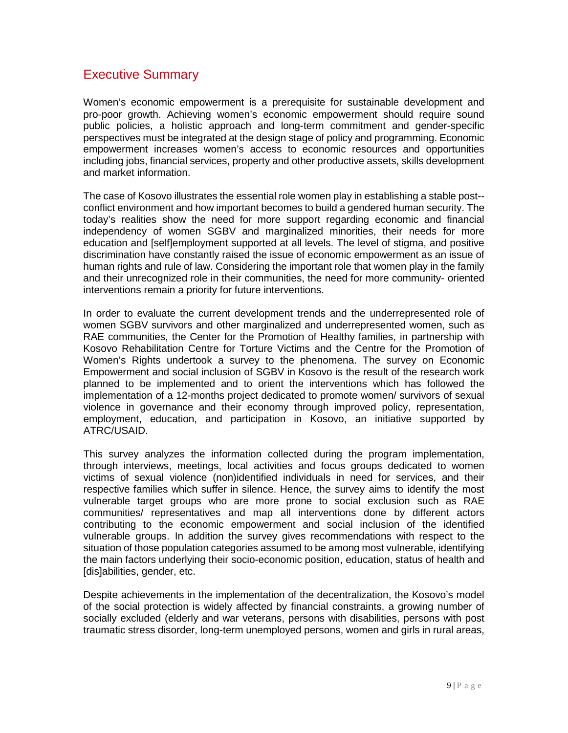#### Executive Summary

Women's economic empowerment is a prerequisite for sustainable development and pro-poor growth. Achieving women's economic empowerment should require sound public policies, a holistic approach and long-term commitment and gender-specific perspectives must be integrated at the design stage of policy and programming. Economic empowerment increases women's access to economic resources and opportunities including jobs, financial services, property and other productive assets, skills development and market information.

The case of Kosovo illustrates the essential role women play in establishing a stable post- conflict environment and how important becomes to build a gendered human security. The today's realities show the need for more support regarding economic and financial independency of women SGBV and marginalized minorities, their needs for more education and [self]employment supported at all levels. The level of stigma, and positive discrimination have constantly raised the issue of economic empowerment as an issue of human rights and rule of law. Considering the important role that women play in the family and their unrecognized role in their communities, the need for more community- oriented interventions remain a priority for future interventions.

In order to evaluate the current development trends and the underrepresented role of women SGBV survivors and other marginalized and underrepresented women, such as RAE communities, the Center for the Promotion of Healthy families, in partnership with Kosovo Rehabilitation Centre for Torture Victims and the Centre for the Promotion of Women's Rights undertook a survey to the phenomena. The survey on Economic Empowerment and social inclusion of SGBV in Kosovo is the result of the research work planned to be implemented and to orient the interventions which has followed the implementation of a 12-months project dedicated to promote women/ survivors of sexual violence in governance and their economy through improved policy, representation, employment, education, and participation in Kosovo, an initiative supported by ATRC/USAID.

This survey analyzes the information collected during the program implementation, through interviews, meetings, local activities and focus groups dedicated to women victims of sexual violence (non)identified individuals in need for services, and their respective families which suffer in silence. Hence, the survey aims to identify the most vulnerable target groups who are more prone to social exclusion such as RAE communities/ representatives and map all interventions done by different actors contributing to the economic empowerment and social inclusion of the identified vulnerable groups. In addition the survey gives recommendations with respect to the situation of those population categories assumed to be among most vulnerable, identifying the main factors underlying their socio-economic position, education, status of health and [dis]abilities, gender, etc.

Despite achievements in the implementation of the decentralization, the Kosovo's model of the social protection is widely affected by financial constraints, a growing number of socially excluded (elderly and war veterans, persons with disabilities, persons with post traumatic stress disorder, long-term unemployed persons, women and girls in rural areas,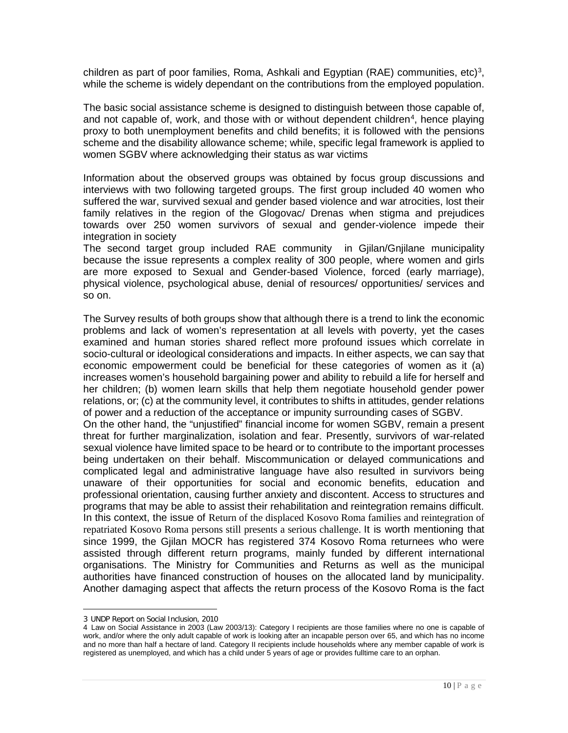children as part of poor families, Roma, Ashkali and Egyptian (RAE) communities, etc)<sup>[3](#page-9-0)</sup>, while the scheme is widely dependant on the contributions from the employed population.

The basic social assistance scheme is designed to distinguish between those capable of, and not capable of, work, and those with or without dependent children<sup>[4](#page-9-1)</sup>, hence playing proxy to both unemployment benefits and child benefits; it is followed with the pensions scheme and the disability allowance scheme; while, specific legal framework is applied to women SGBV where acknowledging their status as war victims

Information about the observed groups was obtained by focus group discussions and interviews with two following targeted groups. The first group included 40 women who suffered the war, survived sexual and gender based violence and war atrocities, lost their family relatives in the region of the Glogovac/ Drenas when stigma and prejudices towards over 250 women survivors of sexual and gender-violence impede their integration in society

The second target group included RAE community in Gjilan/Gnjilane municipality because the issue represents a complex reality of 300 people, where women and girls are more exposed to Sexual and Gender-based Violence, forced (early marriage), physical violence, psychological abuse, denial of resources/ opportunities/ services and so on.

The Survey results of both groups show that although there is a trend to link the economic problems and lack of women's representation at all levels with poverty, yet the cases examined and human stories shared reflect more profound issues which correlate in socio-cultural or ideological considerations and impacts. In either aspects, we can say that economic empowerment could be beneficial for these categories of women as it (a) increases women's household bargaining power and ability to rebuild a life for herself and her children; (b) women learn skills that help them negotiate household gender power relations, or; (c) at the community level, it contributes to shifts in attitudes, gender relations of power and a reduction of the acceptance or impunity surrounding cases of SGBV.

On the other hand, the "unjustified" financial income for women SGBV, remain a present threat for further marginalization, isolation and fear. Presently, survivors of war-related sexual violence have limited space to be heard or to contribute to the important processes being undertaken on their behalf. Miscommunication or delayed communications and complicated legal and administrative language have also resulted in survivors being unaware of their opportunities for social and economic benefits, education and professional orientation, causing further anxiety and discontent. Access to structures and programs that may be able to assist their rehabilitation and reintegration remains difficult. In this context, the issue of Return of the displaced Kosovo Roma families and reintegration of repatriated Kosovo Roma persons still presents a serious challenge. It is worth mentioning that since 1999, the Gjilan MOCR has registered 374 Kosovo Roma returnees who were assisted through different return programs, mainly funded by different international organisations. The Ministry for Communities and Returns as well as the municipal authorities have financed construction of houses on the allocated land by municipality. Another damaging aspect that affects the return process of the Kosovo Roma is the fact

 $\overline{a}$ 

<sup>3</sup> UNDP Report on Social Inclusion, 2010

<span id="page-9-1"></span><span id="page-9-0"></span><sup>4</sup> Law on Social Assistance in 2003 (Law 2003/13): Category I recipients are those families where no one is capable of work, and/or where the only adult capable of work is looking after an incapable person over 65, and which has no income and no more than half a hectare of land. Category II recipients include households where any member capable of work is registered as unemployed, and which has a child under 5 years of age or provides fulltime care to an orphan.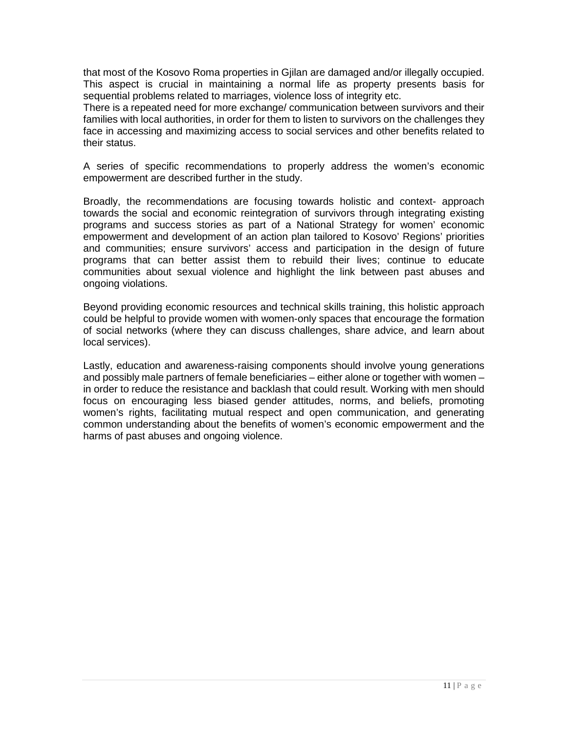that most of the Kosovo Roma properties in Gjilan are damaged and/or illegally occupied. This aspect is crucial in maintaining a normal life as property presents basis for sequential problems related to marriages, violence loss of integrity etc.

There is a repeated need for more exchange/ communication between survivors and their families with local authorities, in order for them to listen to survivors on the challenges they face in accessing and maximizing access to social services and other benefits related to their status.

A series of specific recommendations to properly address the women's economic empowerment are described further in the study.

Broadly, the recommendations are focusing towards holistic and context- approach towards the social and economic reintegration of survivors through integrating existing programs and success stories as part of a National Strategy for women' economic empowerment and development of an action plan tailored to Kosovo' Regions' priorities and communities; ensure survivors' access and participation in the design of future programs that can better assist them to rebuild their lives; continue to educate communities about sexual violence and highlight the link between past abuses and ongoing violations.

Beyond providing economic resources and technical skills training, this holistic approach could be helpful to provide women with women-only spaces that encourage the formation of social networks (where they can discuss challenges, share advice, and learn about local services).

Lastly, education and awareness-raising components should involve young generations and possibly male partners of female beneficiaries – either alone or together with women – in order to reduce the resistance and backlash that could result. Working with men should focus on encouraging less biased gender attitudes, norms, and beliefs, promoting women's rights, facilitating mutual respect and open communication, and generating common understanding about the benefits of women's economic empowerment and the harms of past abuses and ongoing violence.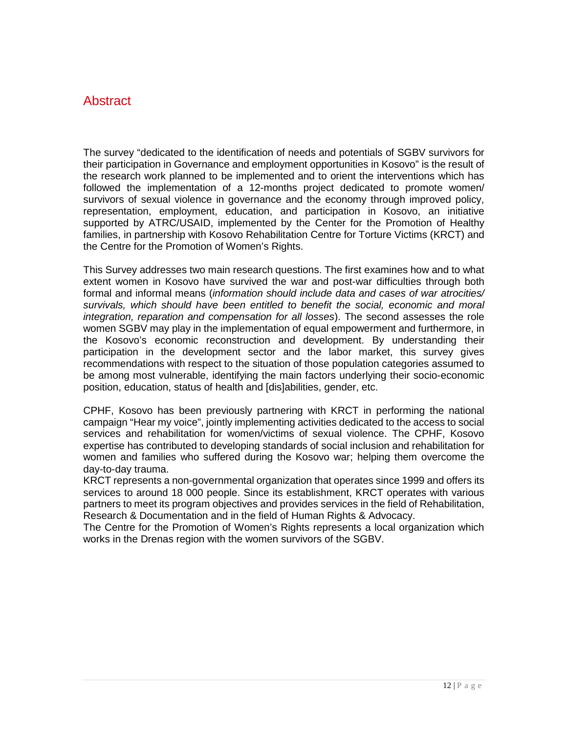#### Abstract

The survey "dedicated to the identification of needs and potentials of SGBV survivors for their participation in Governance and employment opportunities in Kosovo" is the result of the research work planned to be implemented and to orient the interventions which has followed the implementation of a 12-months project dedicated to promote women/ survivors of sexual violence in governance and the economy through improved policy, representation, employment, education, and participation in Kosovo, an initiative supported by ATRC/USAID, implemented by the Center for the Promotion of Healthy families, in partnership with Kosovo Rehabilitation Centre for Torture Victims (KRCT) and the Centre for the Promotion of Women's Rights.

This Survey addresses two main research questions. The first examines how and to what extent women in Kosovo have survived the war and post-war difficulties through both formal and informal means (*information should include data and cases of war atrocities/ survivals, which should have been entitled to benefit the social, economic and moral integration, reparation and compensation for all losses*). The second assesses the role women SGBV may play in the implementation of equal empowerment and furthermore, in the Kosovo's economic reconstruction and development. By understanding their participation in the development sector and the labor market, this survey gives recommendations with respect to the situation of those population categories assumed to be among most vulnerable, identifying the main factors underlying their socio-economic position, education, status of health and [dis]abilities, gender, etc.

CPHF, Kosovo has been previously partnering with KRCT in performing the national campaign "Hear my voice", jointly implementing activities dedicated to the access to social services and rehabilitation for women/victims of sexual violence. The CPHF, Kosovo expertise has contributed to developing standards of social inclusion and rehabilitation for women and families who suffered during the Kosovo war; helping them overcome the day-to-day trauma.

KRCT represents a non-governmental organization that operates since 1999 and offers its services to around 18 000 people. Since its establishment, KRCT operates with various partners to meet its program objectives and provides services in the field of Rehabilitation, Research & Documentation and in the field of Human Rights & Advocacy.

The Centre for the Promotion of Women's Rights represents a local organization which works in the Drenas region with the women survivors of the SGBV.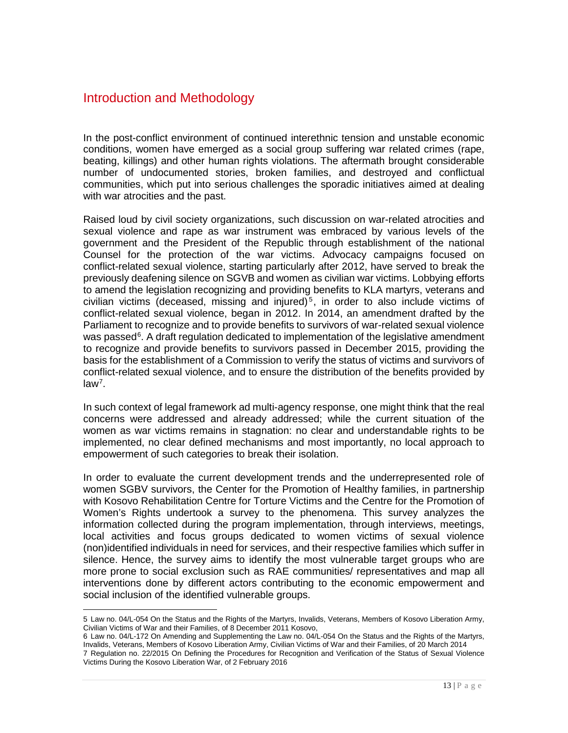#### Introduction and Methodology

In the post-conflict environment of continued interethnic tension and unstable economic conditions, women have emerged as a social group suffering war related crimes (rape, beating, killings) and other human rights violations. The aftermath brought considerable number of undocumented stories, broken families, and destroyed and conflictual communities, which put into serious challenges the sporadic initiatives aimed at dealing with war atrocities and the past.

Raised loud by civil society organizations, such discussion on war-related atrocities and sexual violence and rape as war instrument was embraced by various levels of the government and the President of the Republic through establishment of the national Counsel for the protection of the war victims. Advocacy campaigns focused on conflict-related sexual violence, starting particularly after 2012, have served to break the previously deafening silence on SGVB and women as civilian war victims. Lobbying efforts to amend the legislation recognizing and providing benefits to KLA martyrs, veterans and civilian victims (deceased, missing and injured)<sup>[5](#page-12-0)</sup>, in order to also include victims of conflict-related sexual violence, began in 2012. In 2014, an amendment drafted by the Parliament to recognize and to provide benefits to survivors of war-related sexual violence was passed<sup>[6](#page-12-1)</sup>. A draft regulation dedicated to implementation of the legislative amendment to recognize and provide benefits to survivors passed in December 2015, providing the basis for the establishment of a Commission to verify the status of victims and survivors of conflict-related sexual violence, and to ensure the distribution of the benefits provided by law[7](#page-12-2) .

In such context of legal framework ad multi-agency response, one might think that the real concerns were addressed and already addressed; while the current situation of the women as war victims remains in stagnation: no clear and understandable rights to be implemented, no clear defined mechanisms and most importantly, no local approach to empowerment of such categories to break their isolation.

In order to evaluate the current development trends and the underrepresented role of women SGBV survivors, the Center for the Promotion of Healthy families, in partnership with Kosovo Rehabilitation Centre for Torture Victims and the Centre for the Promotion of Women's Rights undertook a survey to the phenomena. This survey analyzes the information collected during the program implementation, through interviews, meetings, local activities and focus groups dedicated to women victims of sexual violence (non)identified individuals in need for services, and their respective families which suffer in silence. Hence, the survey aims to identify the most vulnerable target groups who are more prone to social exclusion such as RAE communities/ representatives and map all interventions done by different actors contributing to the economic empowerment and social inclusion of the identified vulnerable groups.

<span id="page-12-1"></span>6 Law no. 04/L-172 On Amending and Supplementing the Law no. 04/L-054 On the Status and the Rights of the Martyrs, Invalids, Veterans, Members of Kosovo Liberation Army, Civilian Victims of War and their Families, of 20 March 2014

<span id="page-12-0"></span> $\overline{a}$ 5 Law no. 04/L-054 On the Status and the Rights of the Martyrs, Invalids, Veterans, Members of Kosovo Liberation Army, Civilian Victims of War and their Families, of 8 December 2011 Kosovo,

<span id="page-12-2"></span><sup>7</sup> Regulation no. 22/2015 On Defining the Procedures for Recognition and Verification of the Status of Sexual Violence Victims During the Kosovo Liberation War, of 2 February 2016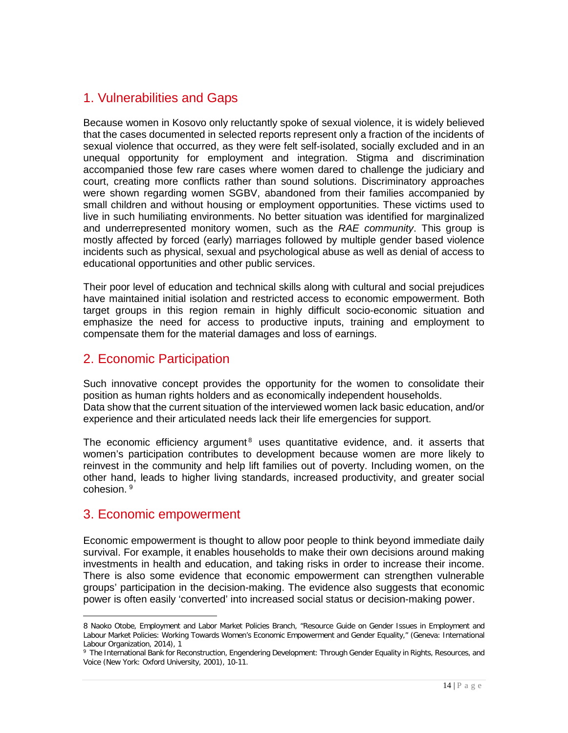## 1. Vulnerabilities and Gaps

Because women in Kosovo only reluctantly spoke of sexual violence, it is widely believed that the cases documented in selected reports represent only a fraction of the incidents of sexual violence that occurred, as they were felt self-isolated, socially excluded and in an unequal opportunity for employment and integration. Stigma and discrimination accompanied those few rare cases where women dared to challenge the judiciary and court, creating more conflicts rather than sound solutions. Discriminatory approaches were shown regarding women SGBV, abandoned from their families accompanied by small children and without housing or employment opportunities. These victims used to live in such humiliating environments. No better situation was identified for marginalized and underrepresented monitory women, such as the *RAE community*. This group is mostly affected by forced (early) marriages followed by multiple gender based violence incidents such as physical, sexual and psychological abuse as well as denial of access to educational opportunities and other public services.

Their poor level of education and technical skills along with cultural and social prejudices have maintained initial isolation and restricted access to economic empowerment. Both target groups in this region remain in highly difficult socio-economic situation and emphasize the need for access to productive inputs, training and employment to compensate them for the material damages and loss of earnings.

## 2. Economic Participation

Such innovative concept provides the opportunity for the women to consolidate their position as human rights holders and as economically independent households. Data show that the current situation of the interviewed women lack basic education, and/or experience and their articulated needs lack their life emergencies for support.

The economic efficiency argument<sup>[8](#page-13-0)</sup> uses quantitative evidence, and. it asserts that women's participation contributes to development because women are more likely to reinvest in the community and help lift families out of poverty. Including women, on the other hand, leads to higher living standards, increased productivity, and greater social cohesion. [9](#page-13-1)

## 3. Economic empowerment

 $\overline{a}$ 

Economic empowerment is thought to allow poor people to think beyond immediate daily survival. For example, it enables households to make their own decisions around making investments in health and education, and taking risks in order to increase their income. There is also some evidence that economic empowerment can strengthen vulnerable groups' participation in the decision-making. The evidence also suggests that economic power is often easily 'converted' into increased social status or decision-making power.

<span id="page-13-0"></span><sup>8</sup> Naoko Otobe, Employment and Labor Market Policies Branch, "Resource Guide on Gender Issues in Employment and Labour Market Policies: Working Towards Women's Economic Empowerment and Gender Equality," (Geneva: International Labour Organization, 2014), 1

<span id="page-13-1"></span><sup>9</sup> The International Bank for Reconstruction, Engendering Development: Through Gender Equality in Rights, Resources, and Voice (New York: Oxford University, 2001), 10-11.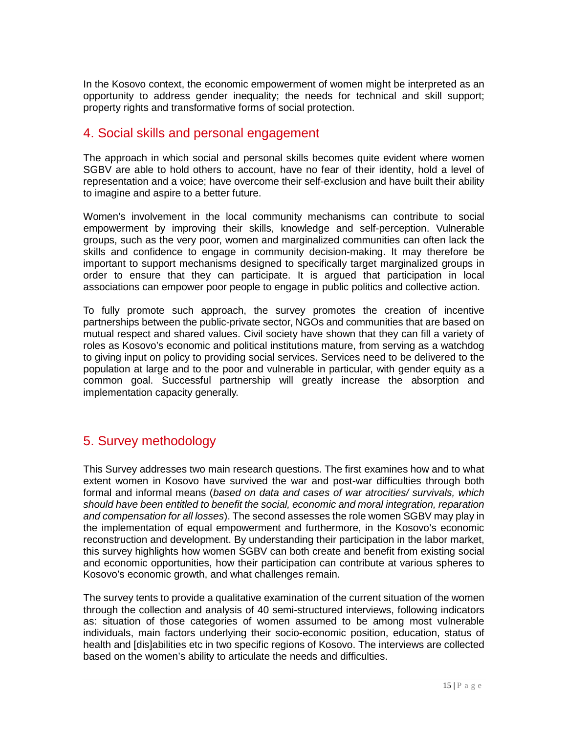In the Kosovo context, the economic empowerment of women might be interpreted as an opportunity to address gender inequality; the needs for technical and skill support; property rights and transformative forms of social protection.

#### 4. Social skills and personal engagement

The approach in which social and personal skills becomes quite evident where women SGBV are able to hold others to account, have no fear of their identity, hold a level of representation and a voice; have overcome their self-exclusion and have built their ability to imagine and aspire to a better future.

Women's involvement in the local community mechanisms can contribute to social empowerment by improving their skills, knowledge and self-perception. Vulnerable groups, such as the very poor, women and marginalized communities can often lack the skills and confidence to engage in community decision-making. It may therefore be important to support mechanisms designed to specifically target marginalized groups in order to ensure that they can participate. It is argued that participation in local associations can empower poor people to engage in public politics and collective action.

To fully promote such approach, the survey promotes the creation of incentive partnerships between the public-private sector, NGOs and communities that are based on mutual respect and shared values. Civil society have shown that they can fill a variety of roles as Kosovo's economic and political institutions mature, from serving as a watchdog to giving input on policy to providing social services. Services need to be delivered to the population at large and to the poor and vulnerable in particular, with gender equity as a common goal. Successful partnership will greatly increase the absorption and implementation capacity generally.

## 5. Survey methodology

This Survey addresses two main research questions. The first examines how and to what extent women in Kosovo have survived the war and post-war difficulties through both formal and informal means (*based on data and cases of war atrocities/ survivals, which should have been entitled to benefit the social, economic and moral integration, reparation and compensation for all losses*). The second assesses the role women SGBV may play in the implementation of equal empowerment and furthermore, in the Kosovo's economic reconstruction and development. By understanding their participation in the labor market, this survey highlights how women SGBV can both create and benefit from existing social and economic opportunities, how their participation can contribute at various spheres to Kosovo's economic growth, and what challenges remain.

The survey tents to provide a qualitative examination of the current situation of the women through the collection and analysis of 40 semi-structured interviews, following indicators as: situation of those categories of women assumed to be among most vulnerable individuals, main factors underlying their socio-economic position, education, status of health and [dis]abilities etc in two specific regions of Kosovo. The interviews are collected based on the women's ability to articulate the needs and difficulties.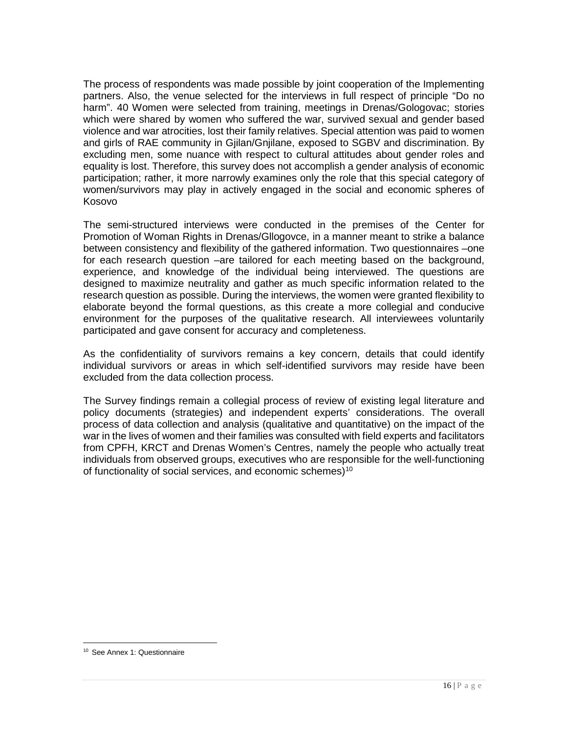The process of respondents was made possible by joint cooperation of the Implementing partners. Also, the venue selected for the interviews in full respect of principle "Do no harm". 40 Women were selected from training, meetings in Drenas/Gologovac; stories which were shared by women who suffered the war, survived sexual and gender based violence and war atrocities, lost their family relatives. Special attention was paid to women and girls of RAE community in Gjilan/Gnjilane, exposed to SGBV and discrimination. By excluding men, some nuance with respect to cultural attitudes about gender roles and equality is lost. Therefore, this survey does not accomplish a gender analysis of economic participation; rather, it more narrowly examines only the role that this special category of women/survivors may play in actively engaged in the social and economic spheres of Kosovo

The semi-structured interviews were conducted in the premises of the Center for Promotion of Woman Rights in Drenas/Gllogovce, in a manner meant to strike a balance between consistency and flexibility of the gathered information. Two questionnaires –one for each research question –are tailored for each meeting based on the background, experience, and knowledge of the individual being interviewed. The questions are designed to maximize neutrality and gather as much specific information related to the research question as possible. During the interviews, the women were granted flexibility to elaborate beyond the formal questions, as this create a more collegial and conducive environment for the purposes of the qualitative research. All interviewees voluntarily participated and gave consent for accuracy and completeness.

As the confidentiality of survivors remains a key concern, details that could identify individual survivors or areas in which self-identified survivors may reside have been excluded from the data collection process.

The Survey findings remain a collegial process of review of existing legal literature and policy documents (strategies) and independent experts' considerations. The overall process of data collection and analysis (qualitative and quantitative) on the impact of the war in the lives of women and their families was consulted with field experts and facilitators from CPFH, KRCT and Drenas Women's Centres, namely the people who actually treat individuals from observed groups, executives who are responsible for the well-functioning of functionality of social services, and economic schemes)<sup>[10](#page-15-0)</sup>

<span id="page-15-0"></span> $\overline{a}$ <sup>10</sup> See Annex 1: Questionnaire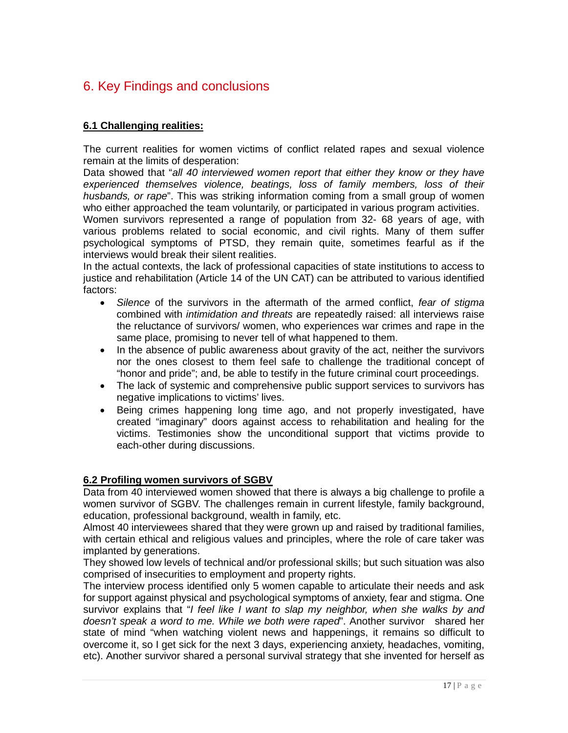## 6. Key Findings and conclusions

#### **6.1 Challenging realities:**

The current realities for women victims of conflict related rapes and sexual violence remain at the limits of desperation:

Data showed that "*all 40 interviewed women report that either they know or they have experienced themselves violence, beatings, loss of family members, loss of their husbands, or rape*". This was striking information coming from a small group of women who either approached the team voluntarily, or participated in various program activities.

Women survivors represented a range of population from 32- 68 years of age, with various problems related to social economic, and civil rights. Many of them suffer psychological symptoms of PTSD, they remain quite, sometimes fearful as if the interviews would break their silent realities.

In the actual contexts, the lack of professional capacities of state institutions to access to justice and rehabilitation (Article 14 of the UN CAT) can be attributed to various identified factors:

- *Silence* of the survivors in the aftermath of the armed conflict, *fear of stigma* combined with *intimidation and threats* are repeatedly raised: all interviews raise the reluctance of survivors/ women, who experiences war crimes and rape in the same place, promising to never tell of what happened to them.
- In the absence of public awareness about gravity of the act, neither the survivors nor the ones closest to them feel safe to challenge the traditional concept of "honor and pride"; and, be able to testify in the future criminal court proceedings.
- The lack of systemic and comprehensive public support services to survivors has negative implications to victims' lives.
- Being crimes happening long time ago, and not properly investigated, have created "imaginary" doors against access to rehabilitation and healing for the victims. Testimonies show the unconditional support that victims provide to each-other during discussions.

#### **6.2 Profiling women survivors of SGBV**

Data from 40 interviewed women showed that there is always a big challenge to profile a women survivor of SGBV. The challenges remain in current lifestyle, family background, education, professional background, wealth in family, etc.

Almost 40 interviewees shared that they were grown up and raised by traditional families, with certain ethical and religious values and principles, where the role of care taker was implanted by generations.

They showed low levels of technical and/or professional skills; but such situation was also comprised of insecurities to employment and property rights.

The interview process identified only 5 women capable to articulate their needs and ask for support against physical and psychological symptoms of anxiety, fear and stigma. One survivor explains that "*I feel like I want to slap my neighbor, when she walks by and doesn't speak a word to me. While we both were raped*". Another survivor shared her state of mind "when watching violent news and happenings, it remains so difficult to overcome it, so I get sick for the next 3 days, experiencing anxiety, headaches, vomiting, etc). Another survivor shared a personal survival strategy that she invented for herself as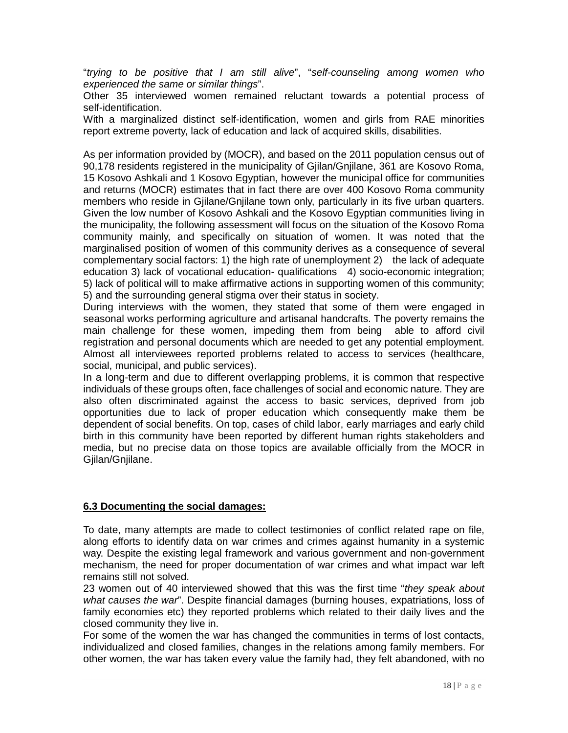"*trying to be positive that I am still alive*", "*self-counseling among women who experienced the same or similar things*".

Other 35 interviewed women remained reluctant towards a potential process of self-identification.

With a marginalized distinct self-identification, women and girls from RAE minorities report extreme poverty, lack of education and lack of acquired skills, disabilities.

As per information provided by (MOCR), and based on the 2011 population census out of 90,178 residents registered in the municipality of Gjilan/Gnjilane, 361 are Kosovo Roma, 15 Kosovo Ashkali and 1 Kosovo Egyptian, however the municipal office for communities and returns (MOCR) estimates that in fact there are over 400 Kosovo Roma community members who reside in Gjilane/Gnjilane town only, particularly in its five urban quarters. Given the low number of Kosovo Ashkali and the Kosovo Egyptian communities living in the municipality, the following assessment will focus on the situation of the Kosovo Roma community mainly, and specifically on situation of women. It was noted that the marginalised position of women of this community derives as a consequence of several complementary social factors: 1) the high rate of unemployment 2) the lack of adequate education 3) lack of vocational education- qualifications 4) socio-economic integration; 5) lack of political will to make affirmative actions in supporting women of this community; 5) and the surrounding general stigma over their status in society.

During interviews with the women, they stated that some of them were engaged in seasonal works performing agriculture and artisanal handcrafts. The poverty remains the main challenge for these women, impeding them from being able to afford civil registration and personal documents which are needed to get any potential employment. Almost all interviewees reported problems related to access to services (healthcare, social, municipal, and public services).

In a long-term and due to different overlapping problems, it is common that respective individuals of these groups often, face challenges of social and economic nature. They are also often discriminated against the access to basic services, deprived from job opportunities due to lack of proper education which consequently make them be dependent of social benefits. On top, cases of child labor, early marriages and early child birth in this community have been reported by different human rights stakeholders and media, but no precise data on those topics are available officially from the MOCR in Gjilan/Gnjilane.

#### **6.3 Documenting the social damages:**

To date, many attempts are made to collect testimonies of conflict related rape on file, along efforts to identify data on war crimes and crimes against humanity in a systemic way. Despite the existing legal framework and various government and non-government mechanism, the need for proper documentation of war crimes and what impact war left remains still not solved.

23 women out of 40 interviewed showed that this was the first time "*they speak about what causes the war*". Despite financial damages (burning houses, expatriations, loss of family economies etc) they reported problems which related to their daily lives and the closed community they live in.

For some of the women the war has changed the communities in terms of lost contacts, individualized and closed families, changes in the relations among family members. For other women, the war has taken every value the family had, they felt abandoned, with no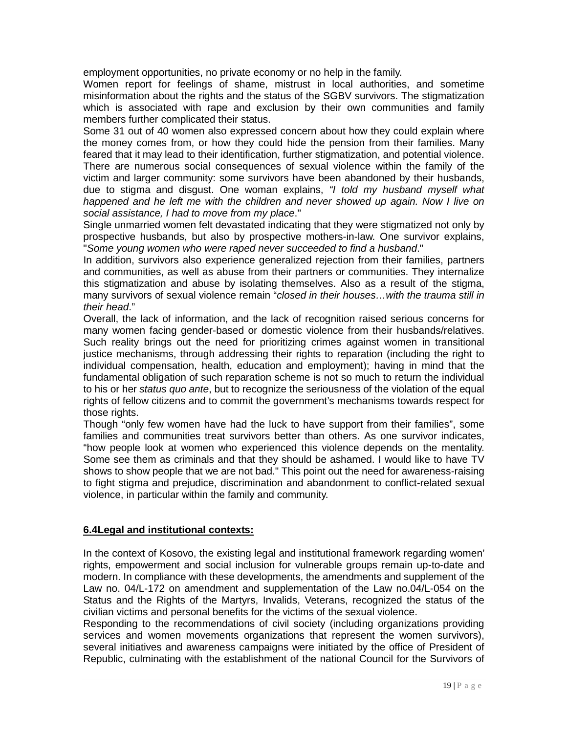employment opportunities, no private economy or no help in the family.

Women report for feelings of shame, mistrust in local authorities, and sometime misinformation about the rights and the status of the SGBV survivors. The stigmatization which is associated with rape and exclusion by their own communities and family members further complicated their status.

Some 31 out of 40 women also expressed concern about how they could explain where the money comes from, or how they could hide the pension from their families. Many feared that it may lead to their identification, further stigmatization, and potential violence. There are numerous social consequences of sexual violence within the family of the victim and larger community: some survivors have been abandoned by their husbands, due to stigma and disgust. One woman explains, *"I told my husband myself what happened and he left me with the children and never showed up again. Now I live on social assistance, I had to move from my place*."

Single unmarried women felt devastated indicating that they were stigmatized not only by prospective husbands, but also by prospective mothers-in-law. One survivor explains, "*Some young women who were raped never succeeded to find a husband*."

In addition, survivors also experience generalized rejection from their families, partners and communities, as well as abuse from their partners or communities. They internalize this stigmatization and abuse by isolating themselves. Also as a result of the stigma, many survivors of sexual violence remain "*closed in their houses…with the trauma still in their head*."

Overall, the lack of information, and the lack of recognition raised serious concerns for many women facing gender-based or domestic violence from their husbands/relatives. Such reality brings out the need for prioritizing crimes against women in transitional justice mechanisms, through addressing their rights to reparation (including the right to individual compensation, health, education and employment); having in mind that the fundamental obligation of such reparation scheme is not so much to return the individual to his or her *status quo ante*, but to recognize the seriousness of the violation of the equal rights of fellow citizens and to commit the government's mechanisms towards respect for those rights.

Though "only few women have had the luck to have support from their families", some families and communities treat survivors better than others. As one survivor indicates, "how people look at women who experienced this violence depends on the mentality. Some see them as criminals and that they should be ashamed. I would like to have TV shows to show people that we are not bad." This point out the need for awareness-raising to fight stigma and prejudice, discrimination and abandonment to conflict-related sexual violence, in particular within the family and community.

#### **6.4Legal and institutional contexts:**

In the context of Kosovo, the existing legal and institutional framework regarding women' rights, empowerment and social inclusion for vulnerable groups remain up-to-date and modern. In compliance with these developments, the amendments and supplement of the Law no. 04/L-172 on amendment and supplementation of the Law no.04/L-054 on the Status and the Rights of the Martyrs, Invalids, Veterans, recognized the status of the civilian victims and personal benefits for the victims of the sexual violence.

Responding to the recommendations of civil society (including organizations providing services and women movements organizations that represent the women survivors), several initiatives and awareness campaigns were initiated by the office of President of Republic, culminating with the establishment of the national Council for the Survivors of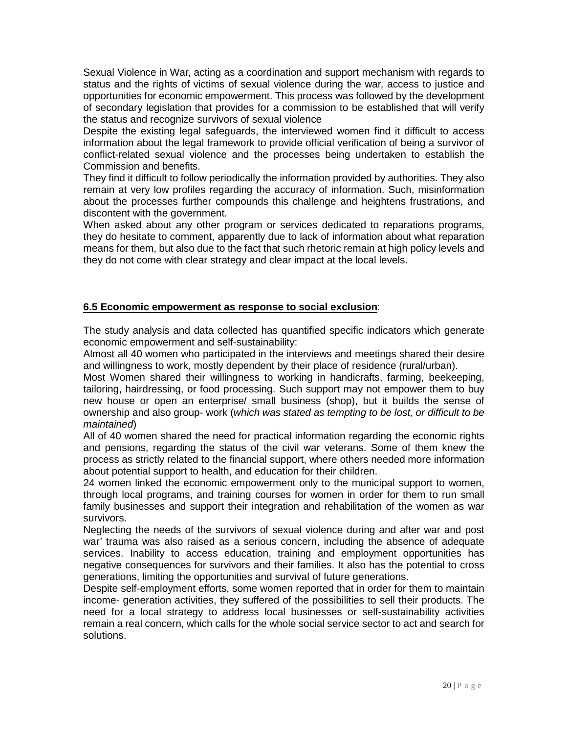Sexual Violence in War, acting as a coordination and support mechanism with regards to status and the rights of victims of sexual violence during the war, access to justice and opportunities for economic empowerment. This process was followed by the development of secondary legislation that provides for a commission to be established that will verify the status and recognize survivors of sexual violence

Despite the existing legal safeguards, the interviewed women find it difficult to access information about the legal framework to provide official verification of being a survivor of conflict-related sexual violence and the processes being undertaken to establish the Commission and benefits.

They find it difficult to follow periodically the information provided by authorities. They also remain at very low profiles regarding the accuracy of information. Such, misinformation about the processes further compounds this challenge and heightens frustrations, and discontent with the government.

When asked about any other program or services dedicated to reparations programs, they do hesitate to comment, apparently due to lack of information about what reparation means for them, but also due to the fact that such rhetoric remain at high policy levels and they do not come with clear strategy and clear impact at the local levels.

#### **6.5 Economic empowerment as response to social exclusion**:

The study analysis and data collected has quantified specific indicators which generate economic empowerment and self-sustainability:

Almost all 40 women who participated in the interviews and meetings shared their desire and willingness to work, mostly dependent by their place of residence (rural/urban).

Most Women shared their willingness to working in handicrafts, farming, beekeeping, tailoring, hairdressing, or food processing. Such support may not empower them to buy new house or open an enterprise/ small business (shop), but it builds the sense of ownership and also group- work (*which was stated as tempting to be lost, or difficult to be maintained*)

All of 40 women shared the need for practical information regarding the economic rights and pensions, regarding the status of the civil war veterans. Some of them knew the process as strictly related to the financial support, where others needed more information about potential support to health, and education for their children.

24 women linked the economic empowerment only to the municipal support to women, through local programs, and training courses for women in order for them to run small family businesses and support their integration and rehabilitation of the women as war survivors.

Neglecting the needs of the survivors of sexual violence during and after war and post war' trauma was also raised as a serious concern, including the absence of adequate services. Inability to access education, training and employment opportunities has negative consequences for survivors and their families. It also has the potential to cross generations, limiting the opportunities and survival of future generations.

Despite self-employment efforts, some women reported that in order for them to maintain income- generation activities, they suffered of the possibilities to sell their products. The need for a local strategy to address local businesses or self-sustainability activities remain a real concern, which calls for the whole social service sector to act and search for solutions.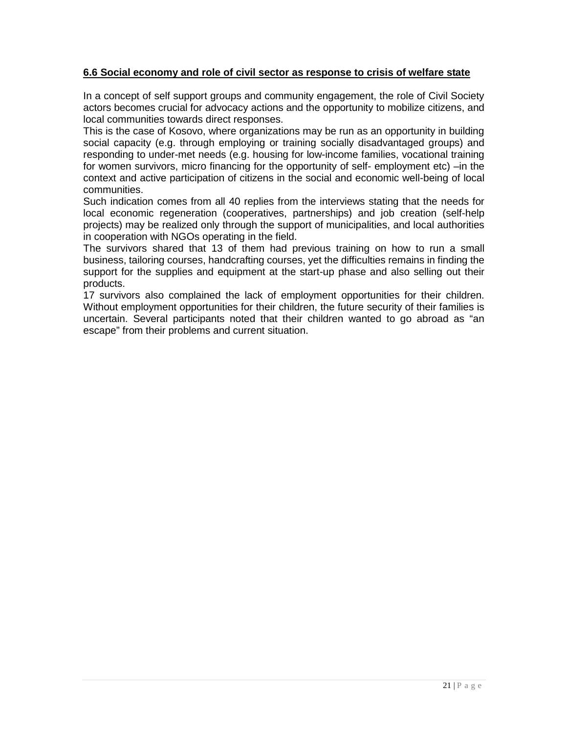#### **6.6 Social economy and role of civil sector as response to crisis of welfare state**

In a concept of self support groups and community engagement, the role of Civil Society actors becomes crucial for advocacy actions and the opportunity to mobilize citizens, and local communities towards direct responses.

This is the case of Kosovo, where organizations may be run as an opportunity in building social capacity (e.g. through employing or training socially disadvantaged groups) and responding to under-met needs (e.g. housing for low-income families, vocational training for women survivors, micro financing for the opportunity of self- employment etc) –in the context and active participation of citizens in the social and economic well-being of local communities.

Such indication comes from all 40 replies from the interviews stating that the needs for local economic regeneration (cooperatives, partnerships) and job creation (self-help projects) may be realized only through the support of municipalities, and local authorities in cooperation with NGOs operating in the field.

The survivors shared that 13 of them had previous training on how to run a small business, tailoring courses, handcrafting courses, yet the difficulties remains in finding the support for the supplies and equipment at the start-up phase and also selling out their products.

17 survivors also complained the lack of employment opportunities for their children. Without employment opportunities for their children, the future security of their families is uncertain. Several participants noted that their children wanted to go abroad as "an escape" from their problems and current situation.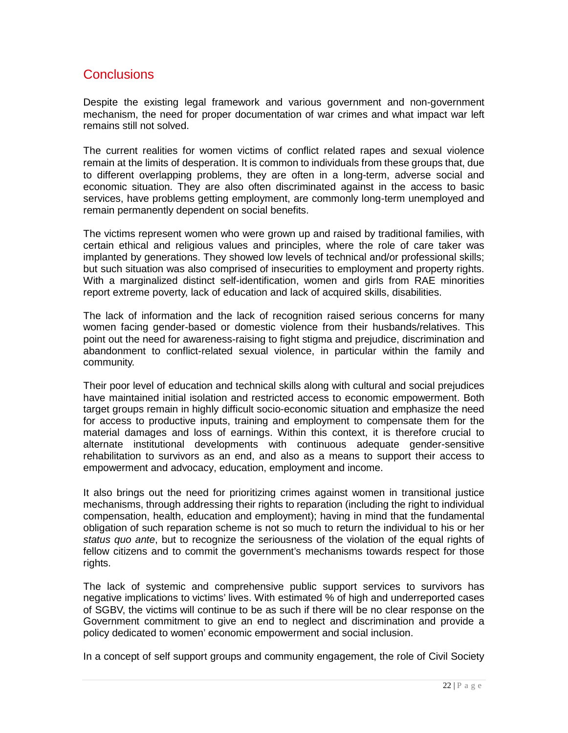#### **Conclusions**

Despite the existing legal framework and various government and non-government mechanism, the need for proper documentation of war crimes and what impact war left remains still not solved.

The current realities for women victims of conflict related rapes and sexual violence remain at the limits of desperation. It is common to individuals from these groups that, due to different overlapping problems, they are often in a long-term, adverse social and economic situation. They are also often discriminated against in the access to basic services, have problems getting employment, are commonly long-term unemployed and remain permanently dependent on social benefits.

The victims represent women who were grown up and raised by traditional families, with certain ethical and religious values and principles, where the role of care taker was implanted by generations. They showed low levels of technical and/or professional skills; but such situation was also comprised of insecurities to employment and property rights. With a marginalized distinct self-identification, women and girls from RAE minorities report extreme poverty, lack of education and lack of acquired skills, disabilities.

The lack of information and the lack of recognition raised serious concerns for many women facing gender-based or domestic violence from their husbands/relatives. This point out the need for awareness-raising to fight stigma and prejudice, discrimination and abandonment to conflict-related sexual violence, in particular within the family and community.

Their poor level of education and technical skills along with cultural and social prejudices have maintained initial isolation and restricted access to economic empowerment. Both target groups remain in highly difficult socio-economic situation and emphasize the need for access to productive inputs, training and employment to compensate them for the material damages and loss of earnings. Within this context, it is therefore crucial to alternate institutional developments with continuous adequate gender-sensitive rehabilitation to survivors as an end, and also as a means to support their access to empowerment and advocacy, education, employment and income.

It also brings out the need for prioritizing crimes against women in transitional justice mechanisms, through addressing their rights to reparation (including the right to individual compensation, health, education and employment); having in mind that the fundamental obligation of such reparation scheme is not so much to return the individual to his or her *status quo ante*, but to recognize the seriousness of the violation of the equal rights of fellow citizens and to commit the government's mechanisms towards respect for those rights.

The lack of systemic and comprehensive public support services to survivors has negative implications to victims' lives. With estimated % of high and underreported cases of SGBV, the victims will continue to be as such if there will be no clear response on the Government commitment to give an end to neglect and discrimination and provide a policy dedicated to women' economic empowerment and social inclusion.

In a concept of self support groups and community engagement, the role of Civil Society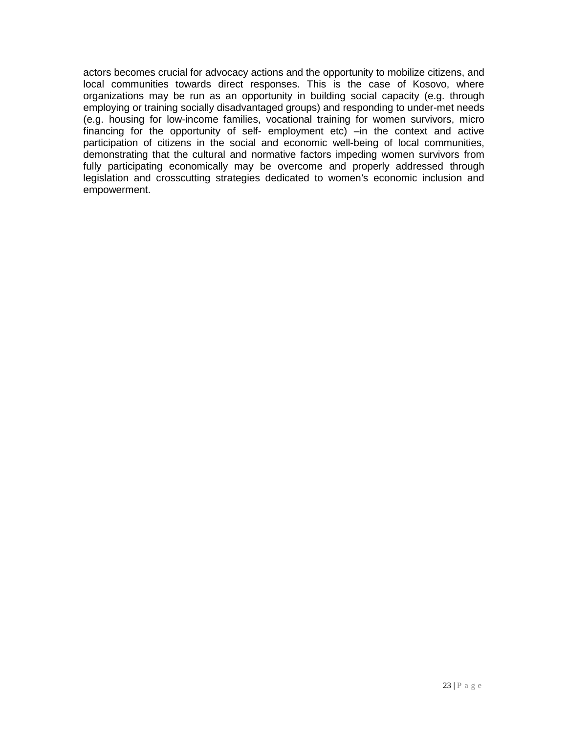actors becomes crucial for advocacy actions and the opportunity to mobilize citizens, and local communities towards direct responses. This is the case of Kosovo, where organizations may be run as an opportunity in building social capacity (e.g. through employing or training socially disadvantaged groups) and responding to under-met needs (e.g. housing for low-income families, vocational training for women survivors, micro financing for the opportunity of self- employment etc) –in the context and active participation of citizens in the social and economic well-being of local communities, demonstrating that the cultural and normative factors impeding women survivors from fully participating economically may be overcome and properly addressed through legislation and crosscutting strategies dedicated to women's economic inclusion and empowerment.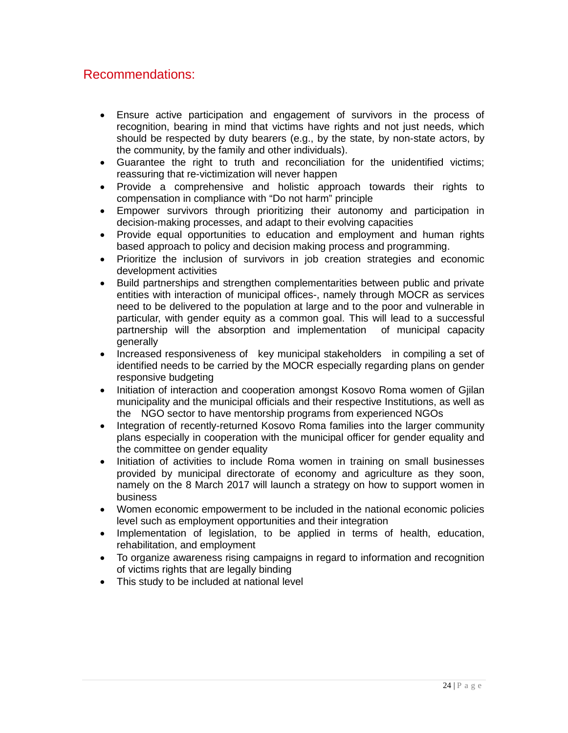### Recommendations:

- Ensure active participation and engagement of survivors in the process of recognition, bearing in mind that victims have rights and not just needs, which should be respected by duty bearers (e.g., by the state, by non-state actors, by the community, by the family and other individuals).
- Guarantee the right to truth and reconciliation for the unidentified victims; reassuring that re-victimization will never happen
- Provide a comprehensive and holistic approach towards their rights to compensation in compliance with "Do not harm" principle
- Empower survivors through prioritizing their autonomy and participation in decision-making processes, and adapt to their evolving capacities
- Provide equal opportunities to education and employment and human rights based approach to policy and decision making process and programming.
- Prioritize the inclusion of survivors in job creation strategies and economic development activities
- Build partnerships and strengthen complementarities between public and private entities with interaction of municipal offices-, namely through MOCR as services need to be delivered to the population at large and to the poor and vulnerable in particular, with gender equity as a common goal. This will lead to a successful partnership will the absorption and implementation of municipal capacity generally
- Increased responsiveness of key municipal stakeholders in compiling a set of identified needs to be carried by the MOCR especially regarding plans on gender responsive budgeting
- Initiation of interaction and cooperation amongst Kosovo Roma women of Gillan municipality and the municipal officials and their respective Institutions, as well as the NGO sector to have mentorship programs from experienced NGOs
- Integration of recently-returned Kosovo Roma families into the larger community plans especially in cooperation with the municipal officer for gender equality and the committee on gender equality
- Initiation of activities to include Roma women in training on small businesses provided by municipal directorate of economy and agriculture as they soon, namely on the 8 March 2017 will launch a strategy on how to support women in business
- Women economic empowerment to be included in the national economic policies level such as employment opportunities and their integration
- Implementation of legislation, to be applied in terms of health, education, rehabilitation, and employment
- To organize awareness rising campaigns in regard to information and recognition of victims rights that are legally binding
- This study to be included at national level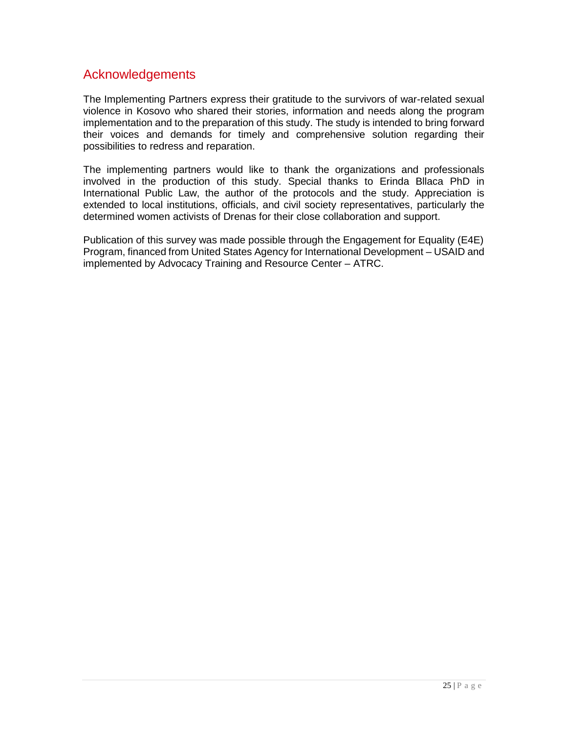#### Acknowledgements

The Implementing Partners express their gratitude to the survivors of war-related sexual violence in Kosovo who shared their stories, information and needs along the program implementation and to the preparation of this study. The study is intended to bring forward their voices and demands for timely and comprehensive solution regarding their possibilities to redress and reparation.

The implementing partners would like to thank the organizations and professionals involved in the production of this study. Special thanks to Erinda Bllaca PhD in International Public Law, the author of the protocols and the study. Appreciation is extended to local institutions, officials, and civil society representatives, particularly the determined women activists of Drenas for their close collaboration and support.

Publication of this survey was made possible through the Engagement for Equality (E4E) Program, financed from United States Agency for International Development – USAID and implemented by Advocacy Training and Resource Center – ATRC.